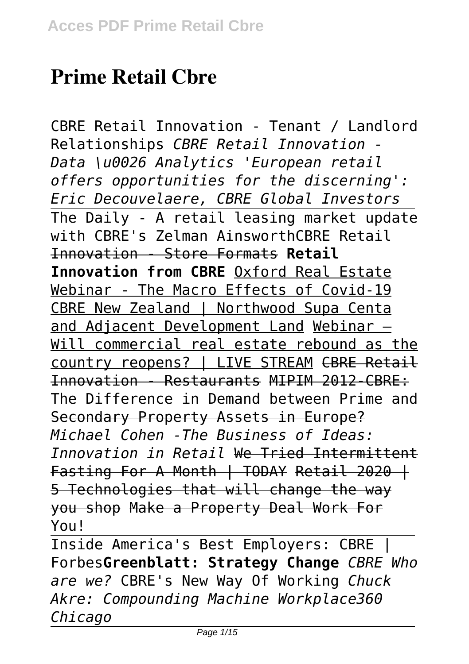# **Prime Retail Cbre**

CBRE Retail Innovation - Tenant / Landlord Relationships *CBRE Retail Innovation - Data \u0026 Analytics 'European retail offers opportunities for the discerning': Eric Decouvelaere, CBRE Global Investors* The Daily - A retail leasing market update with CBRE's Zelman AinsworthCBRE Retail Innovation - Store Formats **Retail Innovation from CBRE** Oxford Real Estate Webinar - The Macro Effects of Covid-19 CBRE New Zealand | Northwood Supa Centa and Adjacent Development Land Webinar — Will commercial real estate rebound as the country reopens? | LIVE STREAM CBRE Retail Innovation - Restaurants MIPIM 2012-CBRE: The Difference in Demand between Prime and Secondary Property Assets in Europe? *Michael Cohen -The Business of Ideas: Innovation in Retail* We Tried Intermittent Fasting For A Month | TODAY Retail 2020 | 5 Technologies that will change the way you shop Make a Property Deal Work For You!

Inside America's Best Employers: CBRE | Forbes**Greenblatt: Strategy Change** *CBRE Who are we?* CBRE's New Way Of Working *Chuck Akre: Compounding Machine Workplace360 Chicago*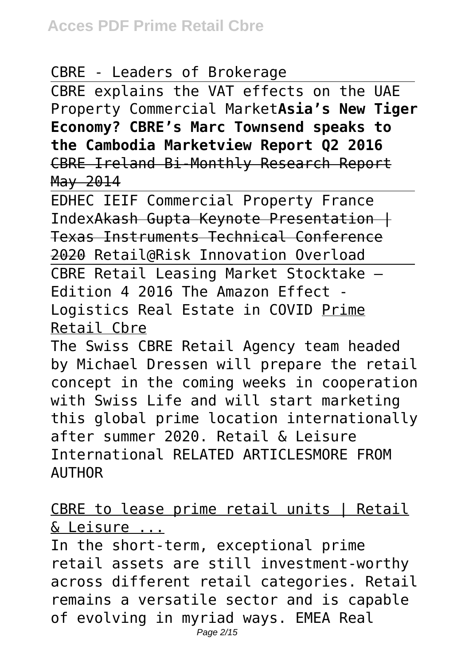## CBRE - Leaders of Brokerage

CBRE explains the VAT effects on the UAE Property Commercial Market**Asia's New Tiger Economy? CBRE's Marc Townsend speaks to the Cambodia Marketview Report Q2 2016** CBRE Ireland Bi-Monthly Research Report May 2014

EDHEC IEIF Commercial Property France IndexAkash Gupta Keynote Presentation | Texas Instruments Technical Conference 2020 Retail@Risk Innovation Overload

CBRE Retail Leasing Market Stocktake – Edition 4 2016 The Amazon Effect - Logistics Real Estate in COVID Prime Retail Cbre

The Swiss CBRE Retail Agency team headed by Michael Dressen will prepare the retail concept in the coming weeks in cooperation with Swiss Life and will start marketing this global prime location internationally after summer 2020. Retail & Leisure International RELATED ARTICLESMORE FROM AUTHOR

CBRE to lease prime retail units | Retail & Leisure ...

In the short-term, exceptional prime retail assets are still investment-worthy across different retail categories. Retail remains a versatile sector and is capable of evolving in myriad ways. EMEA Real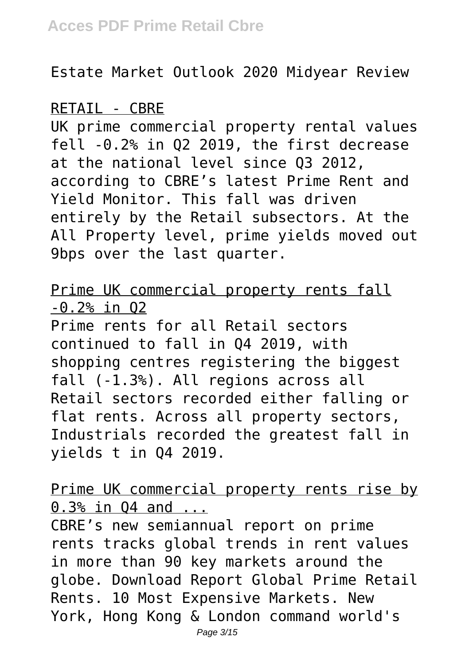Estate Market Outlook 2020 Midyear Review

## RETAIL - CBRE

UK prime commercial property rental values fell -0.2% in Q2 2019, the first decrease at the national level since Q3 2012, according to CBRE's latest Prime Rent and Yield Monitor. This fall was driven entirely by the Retail subsectors. At the All Property level, prime yields moved out 9bps over the last quarter.

## Prime UK commercial property rents fall -0.2% in Q2

Prime rents for all Retail sectors continued to fall in Q4 2019, with shopping centres registering the biggest fall (-1.3%). All regions across all Retail sectors recorded either falling or flat rents. Across all property sectors, Industrials recorded the greatest fall in yields t in Q4 2019.

Prime UK commercial property rents rise by 0.3% in Q4 and ...

CBRE's new semiannual report on prime rents tracks global trends in rent values in more than 90 key markets around the globe. Download Report Global Prime Retail Rents. 10 Most Expensive Markets. New York, Hong Kong & London command world's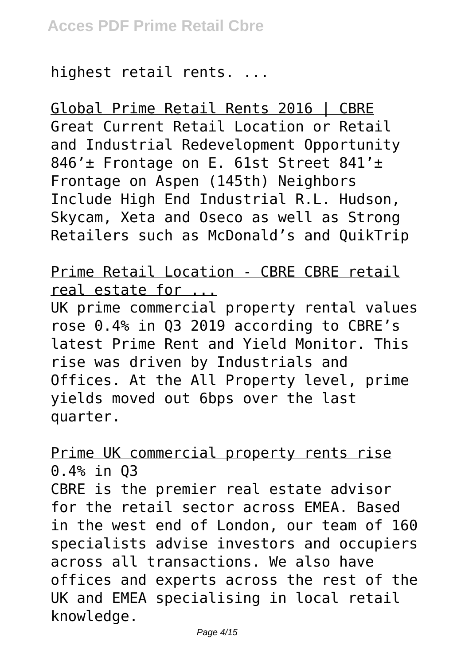highest retail rents. ...

Global Prime Retail Rents 2016 | CBRE Great Current Retail Location or Retail and Industrial Redevelopment Opportunity 846'± Frontage on E. 61st Street 841'± Frontage on Aspen (145th) Neighbors Include High End Industrial R.L. Hudson, Skycam, Xeta and Oseco as well as Strong Retailers such as McDonald's and QuikTrip

Prime Retail Location - CBRE CBRE retail real estate for ...

UK prime commercial property rental values rose 0.4% in Q3 2019 according to CBRE's latest Prime Rent and Yield Monitor. This rise was driven by Industrials and Offices. At the All Property level, prime yields moved out 6bps over the last quarter.

Prime UK commercial property rents rise 0.4% in Q3

CBRE is the premier real estate advisor for the retail sector across EMEA. Based in the west end of London, our team of 160 specialists advise investors and occupiers across all transactions. We also have offices and experts across the rest of the UK and EMEA specialising in local retail knowledge.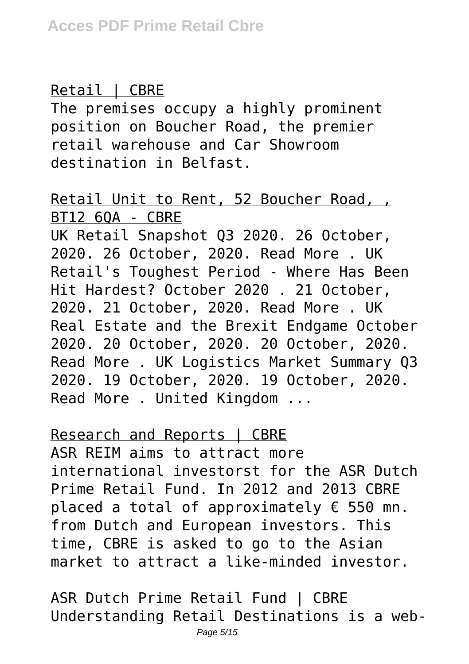## Retail | CBRE

The premises occupy a highly prominent position on Boucher Road, the premier retail warehouse and Car Showroom destination in Belfast.

## Retail Unit to Rent, 52 Boucher Road, , BT12 6QA - CBRE

UK Retail Snapshot Q3 2020. 26 October, 2020. 26 October, 2020. Read More . UK Retail's Toughest Period - Where Has Been Hit Hardest? October 2020 . 21 October, 2020. 21 October, 2020. Read More . UK Real Estate and the Brexit Endgame October 2020. 20 October, 2020. 20 October, 2020. Read More . UK Logistics Market Summary Q3 2020. 19 October, 2020. 19 October, 2020. Read More . United Kingdom ...

#### Research and Reports | CBRE

ASR REIM aims to attract more international investorst for the ASR Dutch Prime Retail Fund. In 2012 and 2013 CBRE placed a total of approximately  $\epsilon$  550 mn. from Dutch and European investors. This time, CBRE is asked to go to the Asian market to attract a like-minded investor.

ASR Dutch Prime Retail Fund | CBRE Understanding Retail Destinations is a web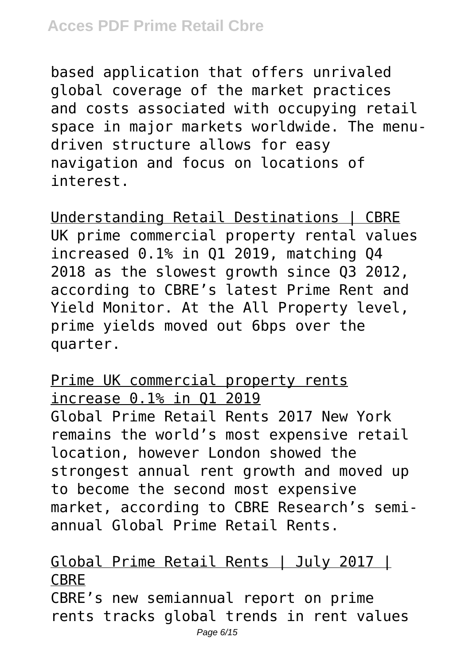based application that offers unrivaled global coverage of the market practices and costs associated with occupying retail space in major markets worldwide. The menudriven structure allows for easy navigation and focus on locations of interest.

Understanding Retail Destinations | CBRE UK prime commercial property rental values increased 0.1% in Q1 2019, matching Q4 2018 as the slowest growth since Q3 2012, according to CBRE's latest Prime Rent and Yield Monitor. At the All Property level, prime yields moved out 6bps over the quarter.

Prime UK commercial property rents increase 0.1% in Q1 2019 Global Prime Retail Rents 2017 New York remains the world's most expensive retail location, however London showed the strongest annual rent growth and moved up to become the second most expensive market, according to CBRE Research's semiannual Global Prime Retail Rents.

Global Prime Retail Rents | July 2017 | CBRE

CBRE's new semiannual report on prime rents tracks global trends in rent values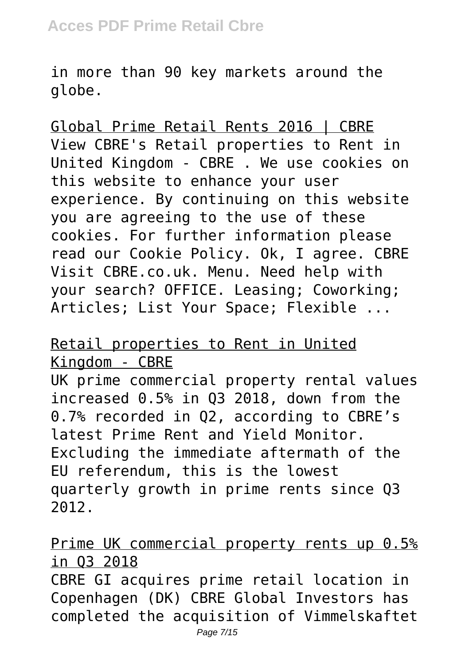in more than 90 key markets around the globe.

Global Prime Retail Rents 2016 | CBRE View CBRE's Retail properties to Rent in United Kingdom - CBRE . We use cookies on this website to enhance your user experience. By continuing on this website you are agreeing to the use of these cookies. For further information please read our Cookie Policy. Ok, I agree. CBRE Visit CBRE.co.uk. Menu. Need help with your search? OFFICE. Leasing; Coworking; Articles; List Your Space; Flexible ...

# Retail properties to Rent in United Kingdom - CBRE

UK prime commercial property rental values increased 0.5% in Q3 2018, down from the 0.7% recorded in Q2, according to CBRE's latest Prime Rent and Yield Monitor. Excluding the immediate aftermath of the EU referendum, this is the lowest quarterly growth in prime rents since Q3 2012.

Prime UK commercial property rents up 0.5% in Q3 2018

CBRE GI acquires prime retail location in Copenhagen (DK) CBRE Global Investors has completed the acquisition of Vimmelskaftet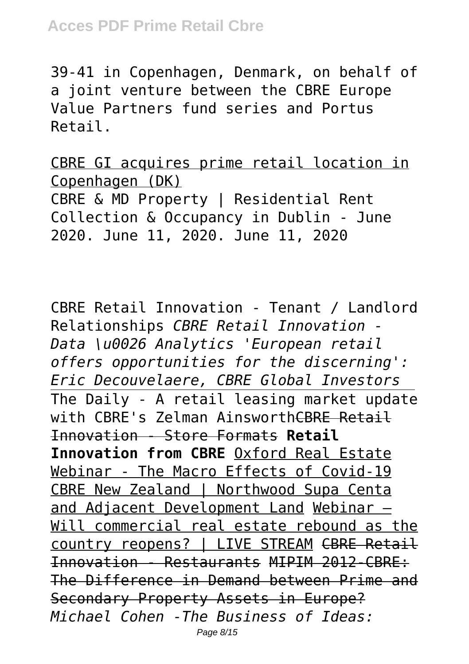39-41 in Copenhagen, Denmark, on behalf of a joint venture between the CBRE Europe Value Partners fund series and Portus Retail.

CBRE GI acquires prime retail location in Copenhagen (DK) CBRE & MD Property | Residential Rent Collection & Occupancy in Dublin - June 2020. June 11, 2020. June 11, 2020

CBRE Retail Innovation - Tenant / Landlord Relationships *CBRE Retail Innovation - Data \u0026 Analytics 'European retail offers opportunities for the discerning': Eric Decouvelaere, CBRE Global Investors* The Daily - A retail leasing market update with CBRE's Zelman AinsworthCBRE Retail Innovation - Store Formats **Retail Innovation from CBRE** Oxford Real Estate Webinar - The Macro Effects of Covid-19 CBRE New Zealand | Northwood Supa Centa and Adjacent Development Land Webinar — Will commercial real estate rebound as the country reopens? | LIVE STREAM CBRE Retail Innovation - Restaurants MIPIM 2012-CBRE: The Difference in Demand between Prime and Secondary Property Assets in Europe? *Michael Cohen -The Business of Ideas:* Page 8/15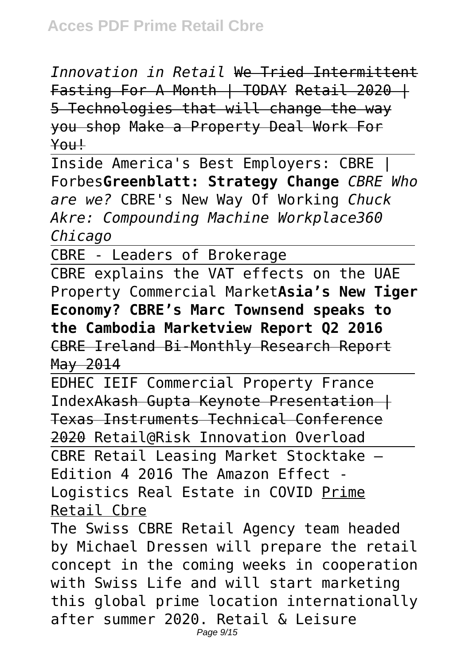*Innovation in Retail* We Tried Intermittent Fasting For A Month | TODAY Retail 2020 | 5 Technologies that will change the way you shop Make a Property Deal Work For You!

Inside America's Best Employers: CBRE | Forbes**Greenblatt: Strategy Change** *CBRE Who are we?* CBRE's New Way Of Working *Chuck Akre: Compounding Machine Workplace360 Chicago*

CBRE - Leaders of Brokerage

CBRE explains the VAT effects on the UAE Property Commercial Market**Asia's New Tiger Economy? CBRE's Marc Townsend speaks to the Cambodia Marketview Report Q2 2016** CBRE Ireland Bi-Monthly Research Report May 2014

EDHEC IEIF Commercial Property France IndexAkash Gupta Keynote Presentation | Texas Instruments Technical Conference 2020 Retail@Risk Innovation Overload

CBRE Retail Leasing Market Stocktake – Edition 4 2016 The Amazon Effect - Logistics Real Estate in COVID Prime Retail Cbre

The Swiss CBRE Retail Agency team headed by Michael Dressen will prepare the retail concept in the coming weeks in cooperation with Swiss Life and will start marketing this global prime location internationally after summer 2020. Retail & Leisure Page 9/15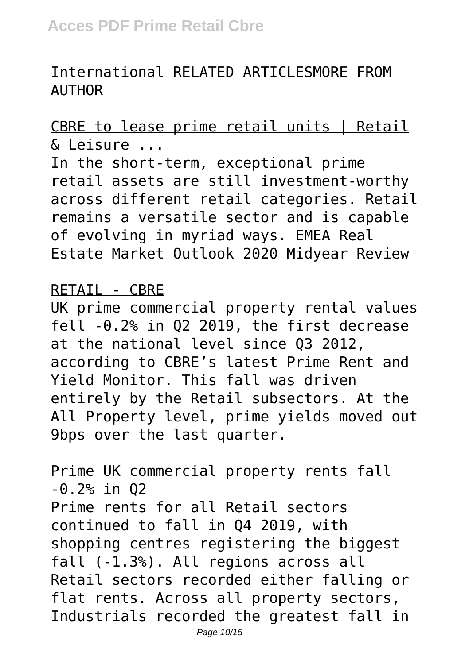# International RELATED ARTICLESMORE FROM AUTHOR

# CBRE to lease prime retail units I Retail & Leisure ...

In the short-term, exceptional prime retail assets are still investment-worthy across different retail categories. Retail remains a versatile sector and is capable of evolving in myriad ways. EMEA Real Estate Market Outlook 2020 Midyear Review

#### RETAIL - CBRE

UK prime commercial property rental values fell -0.2% in Q2 2019, the first decrease at the national level since Q3 2012, according to CBRE's latest Prime Rent and Yield Monitor. This fall was driven entirely by the Retail subsectors. At the All Property level, prime yields moved out 9bps over the last quarter.

## Prime UK commercial property rents fall -0.2% in Q2

Prime rents for all Retail sectors continued to fall in Q4 2019, with shopping centres registering the biggest fall (-1.3%). All regions across all Retail sectors recorded either falling or flat rents. Across all property sectors, Industrials recorded the greatest fall in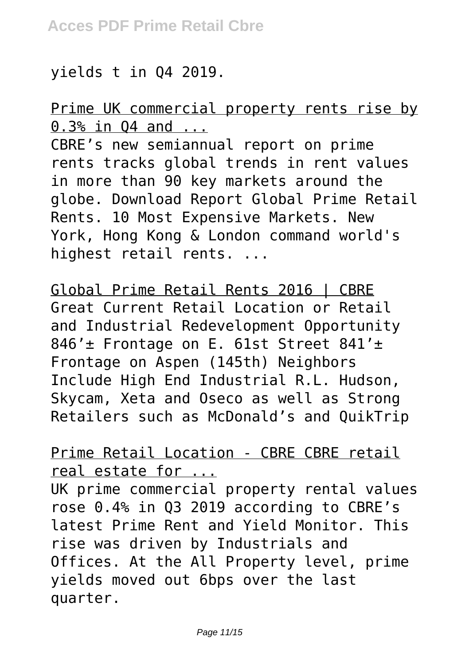## yields t in Q4 2019.

## Prime UK commercial property rents rise by 0.3% in Q4 and ...

CBRE's new semiannual report on prime rents tracks global trends in rent values in more than 90 key markets around the globe. Download Report Global Prime Retail Rents. 10 Most Expensive Markets. New York, Hong Kong & London command world's highest retail rents. ...

Global Prime Retail Rents 2016 | CBRE Great Current Retail Location or Retail and Industrial Redevelopment Opportunity 846'± Frontage on E. 61st Street 841'± Frontage on Aspen (145th) Neighbors Include High End Industrial R.L. Hudson, Skycam, Xeta and Oseco as well as Strong Retailers such as McDonald's and QuikTrip

## Prime Retail Location - CBRE CBRE retail real estate for ...

UK prime commercial property rental values rose 0.4% in Q3 2019 according to CBRE's latest Prime Rent and Yield Monitor. This rise was driven by Industrials and Offices. At the All Property level, prime yields moved out 6bps over the last quarter.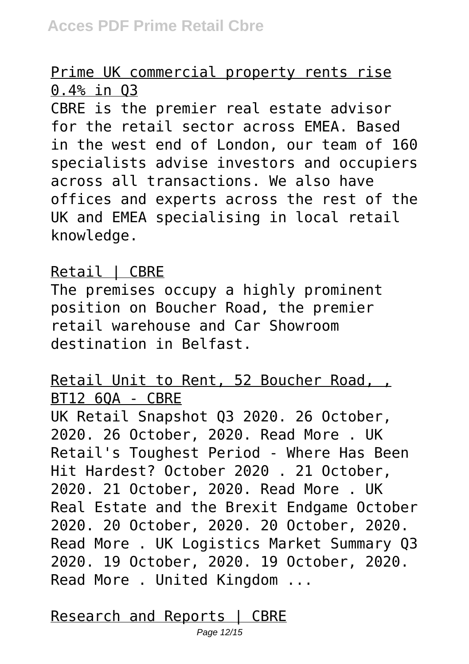## Prime UK commercial property rents rise 0.4% in Q3

CBRE is the premier real estate advisor for the retail sector across EMEA. Based in the west end of London, our team of 160 specialists advise investors and occupiers across all transactions. We also have offices and experts across the rest of the UK and EMEA specialising in local retail knowledge.

## Retail | CBRE

The premises occupy a highly prominent position on Boucher Road, the premier retail warehouse and Car Showroom destination in Belfast.

# Retail Unit to Rent, 52 Boucher Road, , BT12 6QA - CBRE

UK Retail Snapshot Q3 2020. 26 October, 2020. 26 October, 2020. Read More . UK Retail's Toughest Period - Where Has Been Hit Hardest? October 2020 . 21 October, 2020. 21 October, 2020. Read More . UK Real Estate and the Brexit Endgame October 2020. 20 October, 2020. 20 October, 2020. Read More . UK Logistics Market Summary Q3 2020. 19 October, 2020. 19 October, 2020. Read More . United Kingdom ...

Research and Reports | CBRE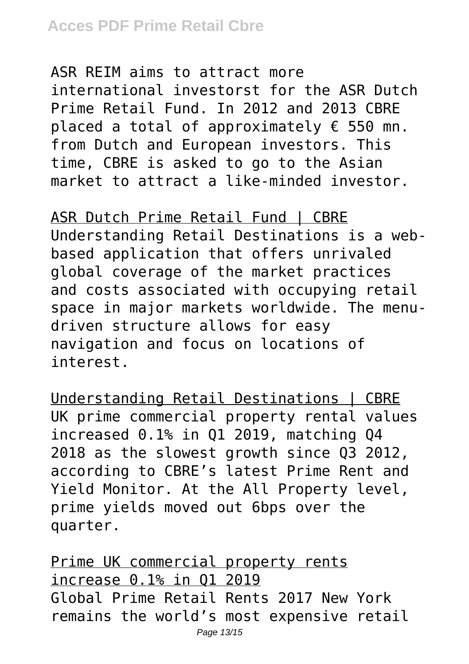ASR REIM aims to attract more international investorst for the ASR Dutch Prime Retail Fund. In 2012 and 2013 CBRE placed a total of approximately  $\epsilon$  550 mn. from Dutch and European investors. This time, CBRE is asked to go to the Asian market to attract a like-minded investor.

ASR Dutch Prime Retail Fund | CBRE Understanding Retail Destinations is a webbased application that offers unrivaled global coverage of the market practices and costs associated with occupying retail space in major markets worldwide. The menudriven structure allows for easy navigation and focus on locations of interest.

Understanding Retail Destinations | CBRE UK prime commercial property rental values increased 0.1% in Q1 2019, matching Q4 2018 as the slowest growth since Q3 2012, according to CBRE's latest Prime Rent and Yield Monitor. At the All Property level, prime yields moved out 6bps over the quarter.

Prime UK commercial property rents increase 0.1% in Q1 2019 Global Prime Retail Rents 2017 New York remains the world's most expensive retail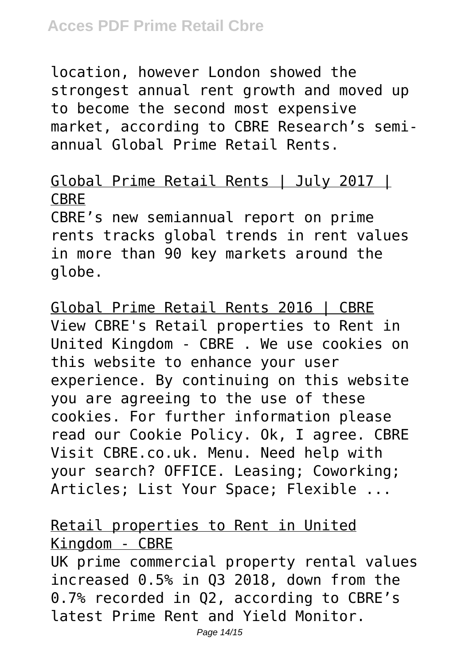location, however London showed the strongest annual rent growth and moved up to become the second most expensive market, according to CBRE Research's semiannual Global Prime Retail Rents.

## Global Prime Retail Rents | July 2017 | CBRE

CBRE's new semiannual report on prime rents tracks global trends in rent values in more than 90 key markets around the globe.

Global Prime Retail Rents 2016 | CBRE View CBRE's Retail properties to Rent in United Kingdom - CBRE . We use cookies on this website to enhance your user experience. By continuing on this website you are agreeing to the use of these cookies. For further information please read our Cookie Policy. Ok, I agree. CBRE Visit CBRE.co.uk. Menu. Need help with your search? OFFICE. Leasing; Coworking; Articles; List Your Space; Flexible ...

# Retail properties to Rent in United Kingdom - CBRE

UK prime commercial property rental values increased 0.5% in Q3 2018, down from the 0.7% recorded in Q2, according to CBRE's latest Prime Rent and Yield Monitor.